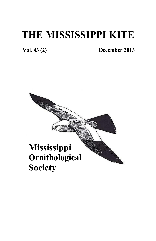# **THE MISSISSIPPI KITE**

 **Vol. 43 (2) December 2013**

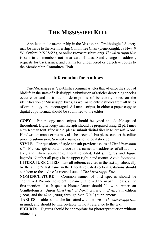### **THE MISSISSIPPI KITE**

Application for membership in the Mississippi Ornithological Society may be made to the Membership Committee Chair (Gene Knight, 79 Hwy. 9 W., Oxford, MS 38655), or online (www.missbird.org). *The Mississippi Kite* is sent to all members not in arrears of dues. Send change of address, requests for back issues, and claims for undelivered or defective copies to the Membership Committee Chair.

#### **Information for Authors**

*The Mississippi Kite* publishes original articles that advance the study of birdlife in the state of Mississippi. Submission of articles describing species occurrence and distribution, descriptions of behaviors, notes on the identification of Mississippi birds, as well as scientific studies from all fields of ornithology are encouraged. All manuscripts, in either a paper copy or digital copy format, should be submitted to the editor.

**COPY** – Paper copy manuscripts should be typed and double-spaced throughout. Digital copy manuscripts should be prepared using 12 pt. Times New Roman font. If possible, please submit digital files in Microsoft Word. Handwritten manuscripts may also be accepted, but please contact the editor prior to submission. Scientific names should be italicized.

**STYLE** – For questions of style consult previous issues of *The Mississippi Kite*. Manuscripts should include a title, names and addresses of all authors, text, and where applicable, literature cited, tables, figures and figure legends. Number all pages in the upper right-hand corner. Avoid footnotes. **LITERATURE CITED** – List all references cited in the text alphabetically

by the author's last name in the Literature Cited section. Citations should conform to the style of a recent issue of *The Mississippi Kite*.

**NOMENCLATURE** – Common names of bird species should be capitalized. Provide the scientific name, italicized and in parentheses, at the first mention of each species. Nomenclature should follow the American Ornithologists' Union *Check-list of North American Birds*, 7th edition (1998) and the 42nd (2000) through 54th (2013) supplements.

**TABLES** – Tables should be formatted with the size of *The Mississippi Kite* in mind, and should be interpretable without reference to the text.

**FIGURES** – Figures should be appropriate for photoreproduction without retouching.